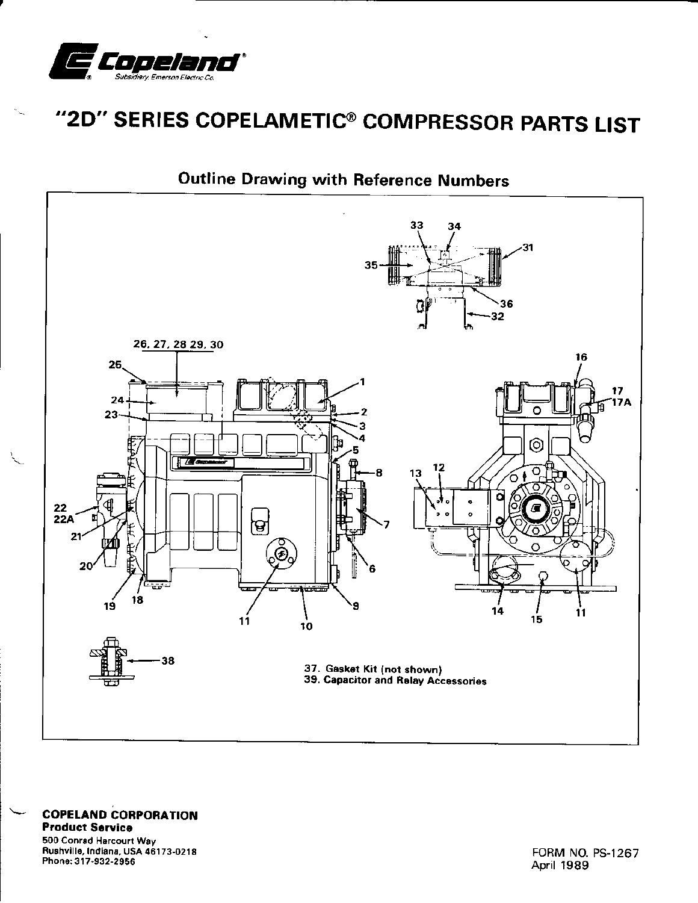

## "2D" SERIES COPELAMETIC® COMPRESSOR PARTS LIST



**Outline Drawing with Reference Numbers** 

**COPELAND CORPORATION Product Service** 500 Conrad Harcourt Way Rushville, Indiana, USA 46173-0218 Phone: 317-932-2956

FORM NO. PS-1267 April 1989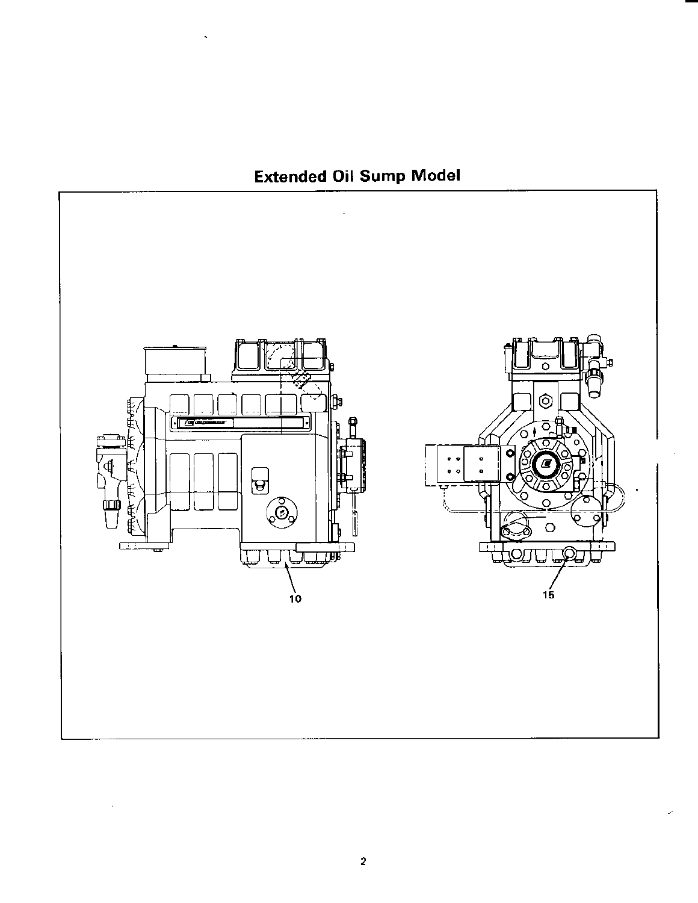## Extended Oil Sump Model

 $\ddot{\phantom{a}}$ 

 $\cdot$ 

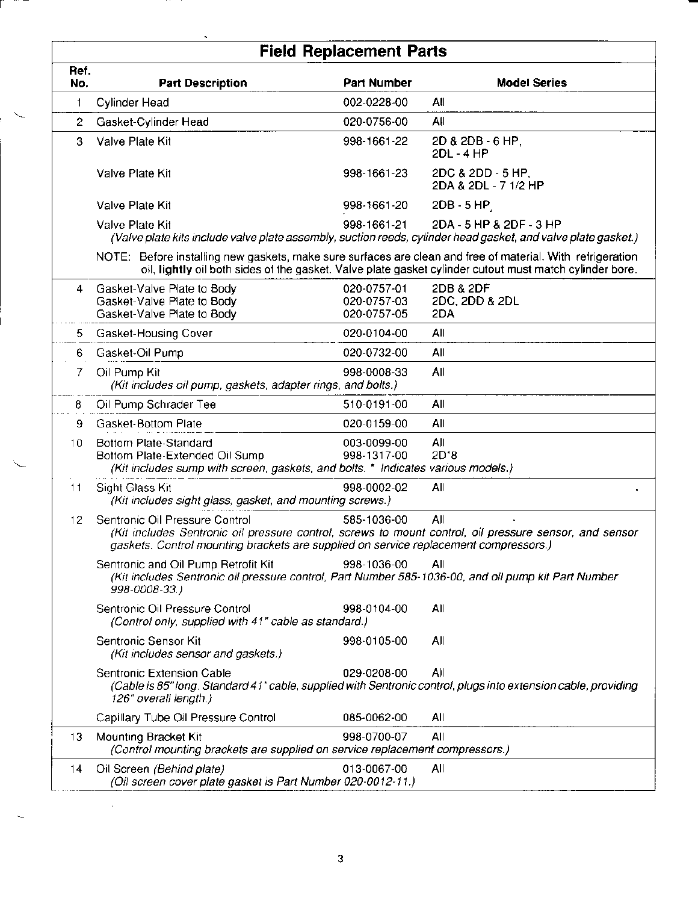|              | <b>Field Replacement Parts</b>                                                                                                                                                                                                   |                            |                                           |  |  |  |  |
|--------------|----------------------------------------------------------------------------------------------------------------------------------------------------------------------------------------------------------------------------------|----------------------------|-------------------------------------------|--|--|--|--|
| Ref.<br>No.  | <b>Part Description</b>                                                                                                                                                                                                          | <b>Part Number</b>         | <b>Model Series</b>                       |  |  |  |  |
| 1            | <b>Cylinder Head</b>                                                                                                                                                                                                             | 002-0228-00                | All                                       |  |  |  |  |
| $\mathbf{2}$ | Gasket-Cylinder Head                                                                                                                                                                                                             | 020-0756-00                | All                                       |  |  |  |  |
| 3            | Valve Plate Kit                                                                                                                                                                                                                  | 998-1661-22                | 2D & 2DB - 6 HP,<br>2DL - 4 HP            |  |  |  |  |
|              | Valve Plate Kit                                                                                                                                                                                                                  | 998-1661-23                | 2DC & 2DD - 5 HP,<br>2DA & 2DL - 7 1/2 HP |  |  |  |  |
|              | Valve Plate Kit                                                                                                                                                                                                                  | 998-1661-20                | $2DB - 5 HP$                              |  |  |  |  |
|              | Valve Plate Kit<br>(Valve plate kits include valve plate assembly, suction reeds, cylinder head gasket, and valve plate gasket.)                                                                                                 | 998-1661-21                | 2DA - 5 HP & 2DF - 3 HP                   |  |  |  |  |
|              | NOTE: Before installing new gaskets, make sure surfaces are clean and free of material. With refrigeration<br>oil, lightly oil both sides of the gasket. Valve plate gasket cylinder cutout must match cylinder bore.            |                            |                                           |  |  |  |  |
| 4            | Gasket-Valve Plate to Body                                                                                                                                                                                                       | 020-0757-01                | 2DB & 2DF                                 |  |  |  |  |
|              | Gasket-Valve Plate to Body<br>Gasket-Valve Plate to Body                                                                                                                                                                         | 020-0757-03<br>020-0757-05 | 2DC, 2DD & 2DL<br>2DA                     |  |  |  |  |
| 5            | Gasket-Housing Cover                                                                                                                                                                                                             | 020-0104-00                | All                                       |  |  |  |  |
| 6            | Gasket-Oil Pump                                                                                                                                                                                                                  | 020-0732-00                | All                                       |  |  |  |  |
| 7            | Oil Pump Kit                                                                                                                                                                                                                     | 998-0008-33                | All                                       |  |  |  |  |
|              | (Kit includes oil pump, gaskets, adapter rings, and bolts.)                                                                                                                                                                      |                            |                                           |  |  |  |  |
| 8            | Oil Pump Schrader Tee                                                                                                                                                                                                            | 510-0191-00                | All                                       |  |  |  |  |
| 9.           | Gasket-Bottom Plate                                                                                                                                                                                                              | 020-0159-00                | All                                       |  |  |  |  |
| 10           | Bottom Plate-Standard<br>Bottom Plate-Extended Oil Sump<br>(Kit includes sump with screen, gaskets, and bolts. * Indicates various models.)                                                                                      | 003-0099-00<br>998-1317-00 | All<br>$2D*8$                             |  |  |  |  |
| 11           | All<br>Sight Glass Kit<br>998-0002-02<br>(Kit includes sight glass, gasket, and mounting screws.)                                                                                                                                |                            |                                           |  |  |  |  |
| 12           | Sentronic Oil Pressure Control<br>(Kit includes Sentronic oil pressure control, screws to mount control, oil pressure sensor, and sensor<br>gaskets. Control mounting brackets are supplied on service replacement compressors.) | 585-1036-00                | All                                       |  |  |  |  |
|              | All<br>(Kit includes Sentronic oil pressure control, Part Number 585-1036-00, and oil pump kit Part Number                                                                                                                       |                            |                                           |  |  |  |  |
|              | Sentronic Oil Pressure Control<br>(Control only, supplied with 41" cable as standard.)                                                                                                                                           | 998-0104-00                | All                                       |  |  |  |  |
|              | Sentronic Sensor Kit<br>(Kit includes sensor and gaskets.)                                                                                                                                                                       | 998-0105-00                | All                                       |  |  |  |  |
|              | Sentronic Extension Cable<br>(Cable is 85" long. Standard 41" cable, supplied with Sentronic control, plugs into extension cable, providing<br>126" overall length.)                                                             | 029-0208-00                | All                                       |  |  |  |  |
|              | Capillary Tube Oil Pressure Control                                                                                                                                                                                              | 085-0062-00                | All                                       |  |  |  |  |
| 13           | Mounting Bracket Kit<br>(Control mounting brackets are supplied on service replacement compressors.)                                                                                                                             | 998-0700-07                | All                                       |  |  |  |  |
| 14           | Oil Screen (Behind plate)<br>(Oil screen cover plate gasket is Part Number 020-0012-11.)                                                                                                                                         | 013-0067-00                | All                                       |  |  |  |  |

 $\hat{\mathcal{L}}$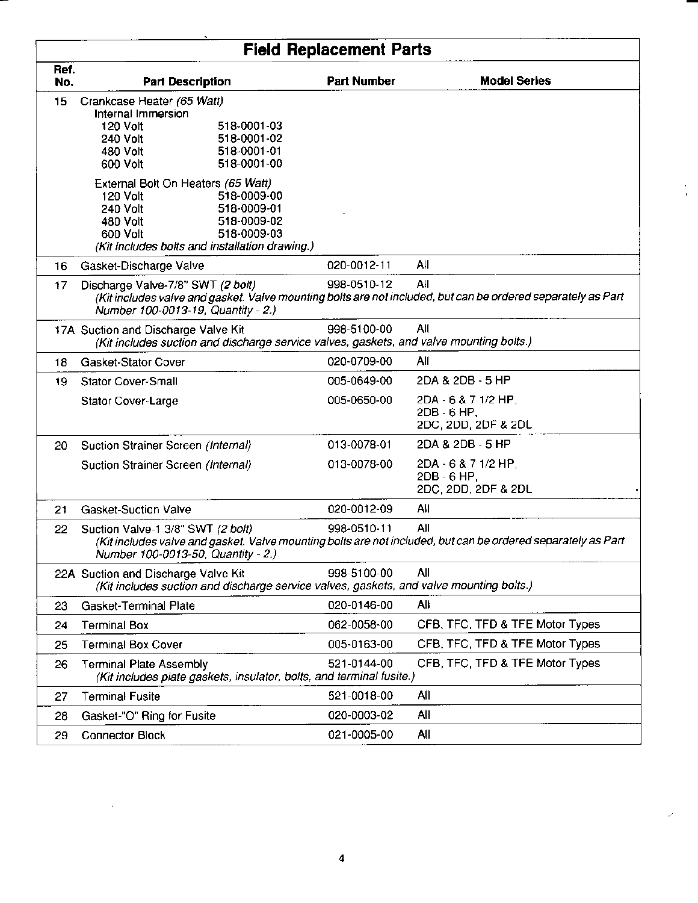|             | <b>Field Replacement Parts</b>                                                                                                                                                                                |                                                                                                                        |                                                           |  |  |  |
|-------------|---------------------------------------------------------------------------------------------------------------------------------------------------------------------------------------------------------------|------------------------------------------------------------------------------------------------------------------------|-----------------------------------------------------------|--|--|--|
| Ref.<br>No. | <b>Part Description</b>                                                                                                                                                                                       | <b>Part Number</b>                                                                                                     | <b>Model Series</b>                                       |  |  |  |
| 15          | Crankcase Heater (65 Watt)<br>Internal Immersion<br>120 Volt<br>518-0001-03<br>518-0001-02<br>240 Volt<br>518-0001-01<br>480 Volt<br>518-0001-00<br>600 Volt                                                  |                                                                                                                        |                                                           |  |  |  |
|             | External Bolt On Heaters (65 Watt)<br>518-0009-00<br>120 Volt<br>240 Volt<br>518-0009-01<br>480 Volt<br>518-0009-02<br>600 Volt<br>518-0009-03<br>(Kit includes bolts and installation drawing.)              |                                                                                                                        |                                                           |  |  |  |
| 16          | Gasket-Discharge Valve                                                                                                                                                                                        | 020-0012-11                                                                                                            | All                                                       |  |  |  |
| 17.         | Discharge Valve-7/8" SWT (2 bolt)<br>(Kit includes valve and gasket. Valve mounting bolts are not included, but can be ordered separately as Part<br>Number 100-0013-19, Quantity - 2.)                       | 998-0510-12                                                                                                            | All                                                       |  |  |  |
|             | 998-5100-00<br>All<br>17A Suction and Discharge Valve Kit<br>(Kit includes suction and discharge service valves, gaskets, and valve mounting bolts.)                                                          |                                                                                                                        |                                                           |  |  |  |
| 18          | Gasket-Stator Cover                                                                                                                                                                                           | 020-0709-00                                                                                                            | All                                                       |  |  |  |
| 19.         | Stator Cover-Small                                                                                                                                                                                            | 005-0649-00                                                                                                            | 2DA & 2DB - 5 HP                                          |  |  |  |
|             | Stator Cover-Large                                                                                                                                                                                            | 005-0650-00                                                                                                            | 2DA - 6 & 7 1/2 HP,<br>2DB - 6 HP,<br>2DC, 2DD, 2DF & 2DL |  |  |  |
| 20          | Suction Strainer Screen (Internal)                                                                                                                                                                            | 013-0078-01                                                                                                            | 2DA & 2DB - 5 HP                                          |  |  |  |
|             | Suction Strainer Screen (Internal)                                                                                                                                                                            | 013-0078-00                                                                                                            | 2DA - 6 & 7 1/2 HP,<br>2DB - 6 HP,<br>2DC, 2DD, 2DF & 2DL |  |  |  |
| 21          | <b>Gasket-Suction Valve</b>                                                                                                                                                                                   | 020-0012-09                                                                                                            | All                                                       |  |  |  |
| 22          | 998-0510-11<br>All<br>Suction Valve-1 3/8" SWT (2 bolt)<br>(Kit includes valve and gasket. Valve mounting bolts are not included, but can be ordered separately as Part<br>Number 100-0013-50, Quantity - 2.) |                                                                                                                        |                                                           |  |  |  |
|             | 22A Suction and Discharge Valve Kit<br>(Kit includes suction and discharge service valves, gaskets, and valve mounting bolts.)                                                                                | 998-5100-00                                                                                                            | All                                                       |  |  |  |
| 23          | Gasket-Terminal Plate                                                                                                                                                                                         | 020-0146-00                                                                                                            | All                                                       |  |  |  |
| 24          | <b>Terminal Box</b>                                                                                                                                                                                           | 062-0058-00                                                                                                            | CFB, TFC, TFD & TFE Motor Types                           |  |  |  |
| 25          | <b>Terminal Box Cover</b>                                                                                                                                                                                     | 005-0163-00                                                                                                            | CFB, TFC, TFD & TFE Motor Types                           |  |  |  |
| 26          | <b>Terminal Plate Assembly</b>                                                                                                                                                                                | CFB, TFC, TFD & TFE Motor Types<br>521-0144-00<br>(Kit includes plate gaskets, insulator, bolts, and terminal fusite.) |                                                           |  |  |  |
| 27          | <b>Terminal Fusite</b>                                                                                                                                                                                        | 521-0018-00                                                                                                            | All                                                       |  |  |  |
| 28          | Gasket-"O" Ring for Fusite                                                                                                                                                                                    | 020-0003-02                                                                                                            | All                                                       |  |  |  |
| 29          | <b>Connector Block</b>                                                                                                                                                                                        | 021-0005-00                                                                                                            | All                                                       |  |  |  |

 $\mathcal{L}^{\text{max}}_{\text{max}}$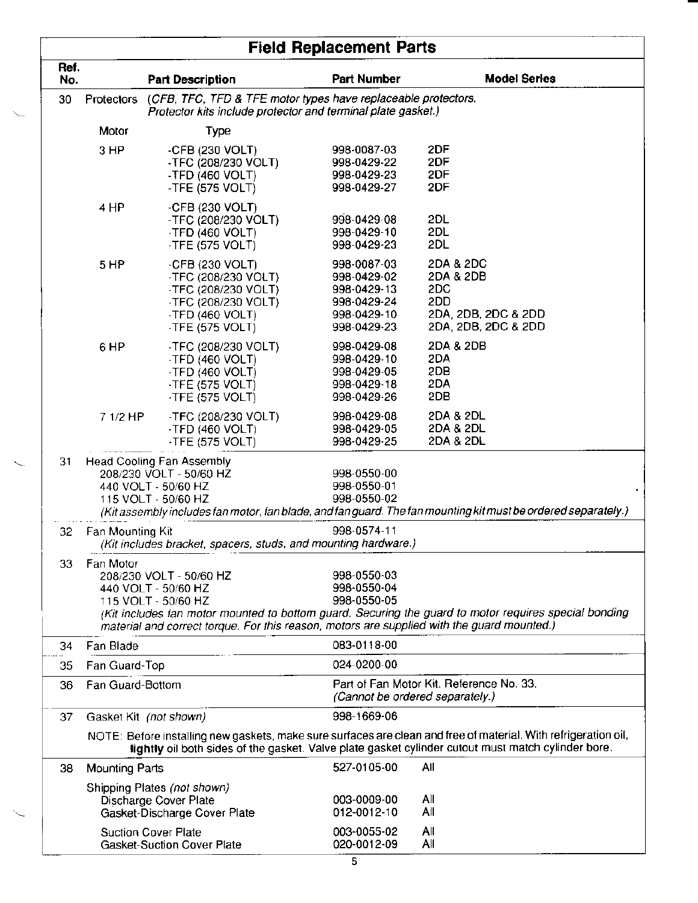|             | <b>Field Replacement Parts</b>                                                                                                              |                                                                                                                                                                     |                                                                                        |                                                                                                                                                                                                                       |  |
|-------------|---------------------------------------------------------------------------------------------------------------------------------------------|---------------------------------------------------------------------------------------------------------------------------------------------------------------------|----------------------------------------------------------------------------------------|-----------------------------------------------------------------------------------------------------------------------------------------------------------------------------------------------------------------------|--|
| Ref.<br>No. |                                                                                                                                             | <b>Part Description</b>                                                                                                                                             | <b>Part Number</b>                                                                     | <b>Model Series</b>                                                                                                                                                                                                   |  |
| 30          | (CFB, TFC, TFD & TFE motor types have replaceable protectors.<br>Protectors<br>Protector kits include protector and terminal plate gasket.) |                                                                                                                                                                     |                                                                                        |                                                                                                                                                                                                                       |  |
|             | Motor                                                                                                                                       | Type                                                                                                                                                                |                                                                                        |                                                                                                                                                                                                                       |  |
|             | 3 HP                                                                                                                                        | -CFB (230 VOLT)<br>-TFC (208/230 VOLT)<br>-TFD (460 VOLT)<br>-TFE (575 VOLT)                                                                                        | 998-0087-03<br>998-0429-22<br>998-0429-23<br>998-0429-27                               | 2DF<br>2DF<br>2DF<br>2DF                                                                                                                                                                                              |  |
|             | 4 HP                                                                                                                                        | -CFB $(230 \text{ VOLT})$<br>-TFC (208/230 VOLT)<br>-TFD $(460 \text{ VOLT})$<br>-TFE $(575 \text{ VOLT})$                                                          | 998-0429-08<br>998-0429-10<br>998-0429-23                                              | 2DL<br>2DL<br>2DL                                                                                                                                                                                                     |  |
|             | 5 HP                                                                                                                                        | $-CFB$ (230 VOLT)<br>-TFC (208/230 VOLT)<br>-TFC (208/230 VOLT)<br>-TFC (208/230 VOLT)<br>-TFD $(460 \text{ VOLT})$<br>-TFE $(575 \text{ VOLT})$                    | 998-0087-03<br>998-0429-02<br>998-0429-13<br>998-0429-24<br>998-0429-10<br>998-0429-23 | 2DA & 2DC<br>2DA & 2DB<br>2DC<br>2DD<br>2DA, 2DB, 2DC & 2DD<br>2DA, 2DB, 2DC & 2DD                                                                                                                                    |  |
|             | 6 HP                                                                                                                                        | -TFC (208/230 VOLT)<br>-TFD $(460 VOLT)$<br>$-$ TFD (460 VOLT)<br>-TFE (575 VOLT)<br>-TFE (575 VOLT)                                                                | 998-0429-08<br>998-0429-10<br>998-0429-05<br>998-0429-18<br>998-0429-26                | 2DA & 2DB<br>2DA<br>2DB<br>2DA<br>2DB                                                                                                                                                                                 |  |
|             | 7 1/2 HP                                                                                                                                    | -TFC (208/230 VOLT)<br>-TFD $(460 \text{ VOLT})$<br>-TFE $(575$ VOLT)                                                                                               | 998-0429-08<br>998-0429-05<br>998-0429-25                                              | 2DA & 2DL<br>2DA & 2DL<br>2DA & 2DL                                                                                                                                                                                   |  |
| 31          |                                                                                                                                             | Head Cooling Fan Assembly<br>208/230 VOLT - 50/60 HZ<br>440 VOLT - 50/60 HZ<br>115 VOLT - 50/60 HZ                                                                  | 998-0550-00<br>998-0550-01<br>998-0550-02                                              | (Kit assembly includes fan motor, fan blade, and fan guard. The fan mounting kit must be ordered separately.)                                                                                                         |  |
| 32          | 998-0574-11<br>Fan Mounting Kit<br>(Kit includes bracket, spacers, studs, and mounting hardware.)                                           |                                                                                                                                                                     |                                                                                        |                                                                                                                                                                                                                       |  |
| 33          | Fan Motor                                                                                                                                   | 208/230 VOLT - 50/60 HZ<br>440 VOLT - 50/60 HZ<br>115 VOLT - 50/60 HZ<br>material and correct torque. For this reason, motors are supplied with the guard mounted.) | 998-0550-03<br>998-0550-04<br>998-0550-05                                              | (Kit includes fan motor mounted to bottom guard. Securing the guard to motor requires special bonding                                                                                                                 |  |
| 34          | Fan Blade                                                                                                                                   |                                                                                                                                                                     | 083-0118-00                                                                            |                                                                                                                                                                                                                       |  |
| 35          | Fan Guard-Top                                                                                                                               |                                                                                                                                                                     | 024-0200-00                                                                            |                                                                                                                                                                                                                       |  |
| 36          | Fan Guard-Bottom                                                                                                                            |                                                                                                                                                                     | (Cannot be ordered separately.)                                                        | Part of Fan Motor Kit. Reference No. 33.                                                                                                                                                                              |  |
| 37          |                                                                                                                                             | Gasket Kit (not shown)                                                                                                                                              | 998-1669-06                                                                            |                                                                                                                                                                                                                       |  |
|             |                                                                                                                                             |                                                                                                                                                                     |                                                                                        | NOTE: Before installing new gaskets, make sure surfaces are clean and free of material. With refrigeration oil,<br>lightly oil both sides of the gasket. Valve plate gasket cylinder cutout must match cylinder bore. |  |
| 38          | <b>Mounting Parts</b>                                                                                                                       |                                                                                                                                                                     | 527-0105-00                                                                            | All                                                                                                                                                                                                                   |  |
|             |                                                                                                                                             | Shipping Plates (not shown)<br>Discharge Cover Plate<br>Gasket-Discharge Cover Plate                                                                                | 003-0009-00<br>012-0012-10                                                             | All<br>All                                                                                                                                                                                                            |  |
|             |                                                                                                                                             | <b>Suction Cover Plate</b><br>Gasket-Suction Cover Plate                                                                                                            | 003-0055-02<br>020-0012-09                                                             | All<br>All                                                                                                                                                                                                            |  |